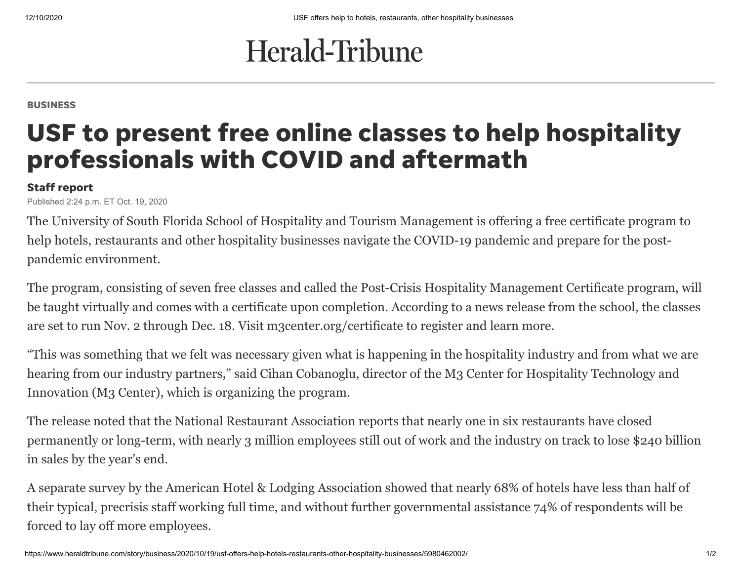## Herald-Tribune

BUSINESS

## USF to present free online classes to help hospitality professionals with COVID and aftermath

## Staff report

Published 2:24 p.m. ET Oct. 19, 2020

The University of South Florida School of Hospitality and Tourism Management is offering a free certificate program to help hotels, restaurants and other hospitality businesses navigate the COVID-19 pandemic and prepare for the postpandemic environment.

The program, consisting of seven free classes and called the Post-Crisis Hospitality Management Certificate program, will be taught virtually and comes with a certificate upon completion. According to a news release from the school, the classes are set to run Nov. 2 through Dec. 18. Visit m3center.org/certificate to register and learn more.

"This was something that we felt was necessary given what is happening in the hospitality industry and from what we are hearing from our industry partners," said Cihan Cobanoglu, director of the M3 Center for Hospitality Technology and Innovation (M3 Center), which is organizing the program.

The release noted that the National Restaurant Association reports that nearly one in six restaurants have closed permanently or long-term, with nearly 3 million employees still out of work and the industry on track to lose \$240 billion in sales by the year's end.

A separate survey by the American Hotel & Lodging Association showed that nearly 68% of hotels have less than half of their typical, precrisis staff working full time, and without further governmental assistance 74% of respondents will be forced to lay off more employees.